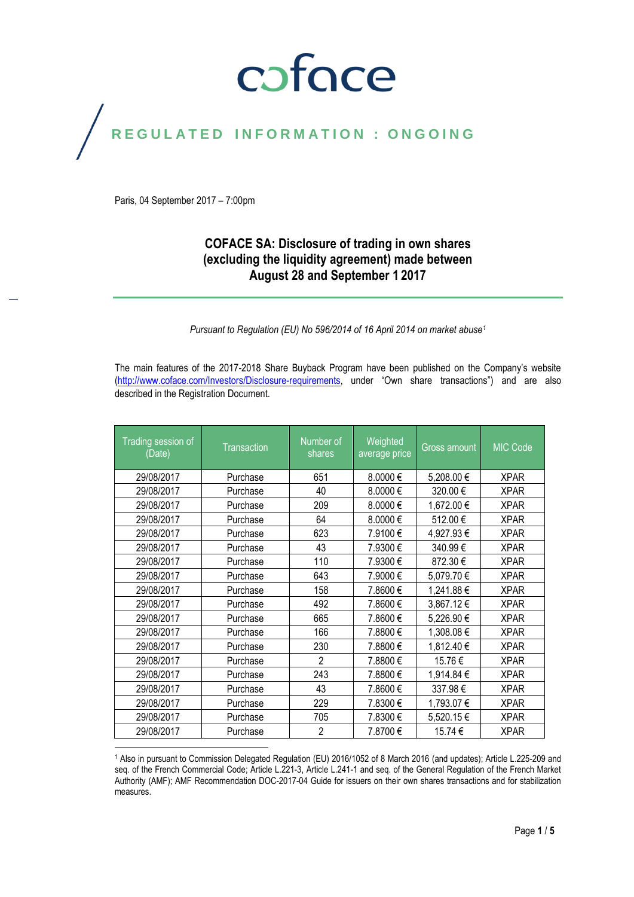# coface

## REGULATED INFORMATION : ONGOING

Paris, 04 September 2017 – 7:00pm

## **COFACE SA: Disclosure of trading in own shares (excluding the liquidity agreement) made between August 28 and September 1 2017**

*Pursuant to Regulation (EU) No 596/2014 of 16 April 2014 on market abuse<sup>1</sup>*

The main features of the 2017-2018 Share Buyback Program have been published on the Company's website [\(http://www.coface.com/Investors/Disclosure-requirements](http://www.coface.com/Investors/Disclosure-requirements), under "Own share transactions") and are also described in the Registration Document.

| Trading session of<br>(Date) | <b>Transaction</b> | Number of<br>shares | Weighted<br>average price | <b>Gross amount</b> | <b>MIC Code</b> |
|------------------------------|--------------------|---------------------|---------------------------|---------------------|-----------------|
| 29/08/2017                   | Purchase           | 651                 | $8.0000 \in$              | 5,208.00 €          | <b>XPAR</b>     |
| 29/08/2017                   | Purchase           | 40                  | 8.0000€                   | 320.00€             | <b>XPAR</b>     |
| 29/08/2017                   | Purchase           | 209                 | 8.0000€                   | 1,672.00 €          | <b>XPAR</b>     |
| 29/08/2017                   | Purchase           | 64                  | 8.0000€                   | 512.00€             | <b>XPAR</b>     |
| 29/08/2017                   | Purchase           | 623                 | 7.9100€                   | 4,927.93€           | <b>XPAR</b>     |
| 29/08/2017                   | Purchase           | 43                  | 7.9300€                   | 340.99€             | <b>XPAR</b>     |
| 29/08/2017                   | Purchase           | 110                 | 7.9300€                   | 872.30€             | <b>XPAR</b>     |
| 29/08/2017                   | Purchase           | 643                 | 7.9000€                   | 5,079.70€           | <b>XPAR</b>     |
| 29/08/2017                   | Purchase           | 158                 | 7.8600€                   | 1,241.88 €          | <b>XPAR</b>     |
| 29/08/2017                   | Purchase           | 492                 | 7.8600€                   | 3,867.12€           | <b>XPAR</b>     |
| 29/08/2017                   | Purchase           | 665                 | 7.8600€                   | 5,226.90€           | <b>XPAR</b>     |
| 29/08/2017                   | Purchase           | 166                 | 7.8800 €                  | 1,308.08€           | <b>XPAR</b>     |
| 29/08/2017                   | Purchase           | 230                 | 7.8800€                   | 1,812.40 €          | <b>XPAR</b>     |
| 29/08/2017                   | Purchase           | $\overline{2}$      | 7.8800€                   | 15.76€              | <b>XPAR</b>     |
| 29/08/2017                   | Purchase           | 243                 | 7.8800€                   | 1,914.84 €          | <b>XPAR</b>     |
| 29/08/2017                   | Purchase           | 43                  | 7.8600€                   | 337.98€             | <b>XPAR</b>     |
| 29/08/2017                   | Purchase           | 229                 | 7.8300€                   | 1,793.07 €          | <b>XPAR</b>     |
| 29/08/2017                   | Purchase           | 705                 | 7.8300€                   | 5,520.15 €          | <b>XPAR</b>     |
| 29/08/2017                   | Purchase           | $\overline{c}$      | 7.8700 €                  | 15.74 €             | <b>XPAR</b>     |

 $\overline{a}$ <sup>1</sup> Also in pursuant to Commission Delegated Regulation (EU) 2016/1052 of 8 March 2016 (and updates); Article L.225-209 and seq. of the French Commercial Code; Article L.221-3, Article L.241-1 and seq. of the General Regulation of the French Market Authority (AMF); AMF Recommendation DOC-2017-04 Guide for issuers on their own shares transactions and for stabilization measures.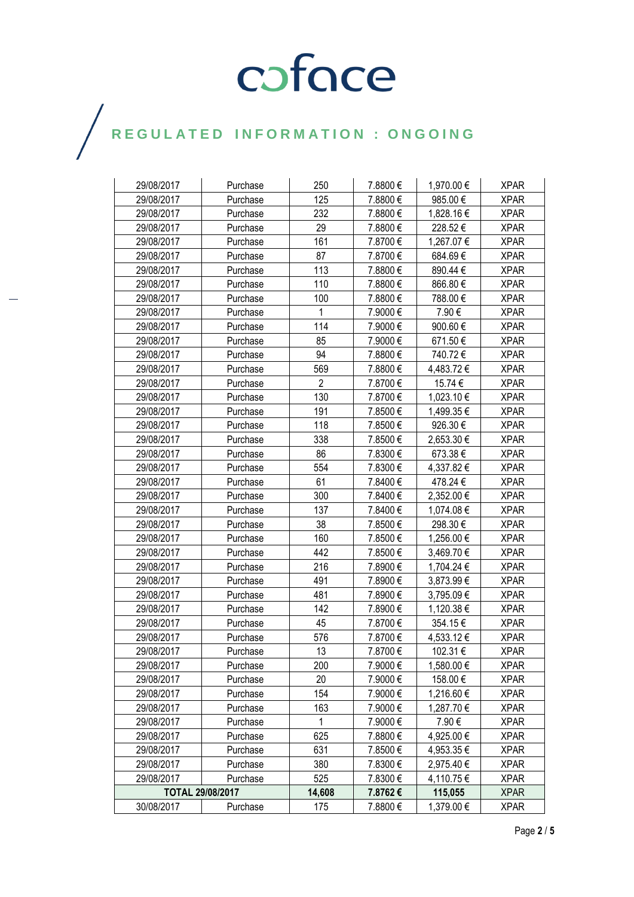# COFOCE

## $\bigg)$

| 29/08/2017 | Purchase         | 250            | 7.8800€  | 1,970.00 € | <b>XPAR</b> |
|------------|------------------|----------------|----------|------------|-------------|
| 29/08/2017 | Purchase         | 125            | 7.8800€  | 985.00€    | <b>XPAR</b> |
| 29/08/2017 | Purchase         | 232            | 7.8800€  | 1,828.16 € | <b>XPAR</b> |
| 29/08/2017 | Purchase         | 29             | 7.8800€  | 228.52€    | <b>XPAR</b> |
| 29/08/2017 | Purchase         | 161            | 7.8700€  | 1,267.07 € | <b>XPAR</b> |
| 29/08/2017 | Purchase         | 87             | 7.8700 € | 684.69€    | <b>XPAR</b> |
| 29/08/2017 | Purchase         | 113            | 7.8800€  | 890.44 €   | <b>XPAR</b> |
| 29/08/2017 | Purchase         | 110            | 7.8800€  | 866.80€    | <b>XPAR</b> |
| 29/08/2017 | Purchase         | 100            | 7.8800€  | 788.00€    | <b>XPAR</b> |
| 29/08/2017 | Purchase         | 1              | 7.9000€  | 7.90€      | <b>XPAR</b> |
| 29/08/2017 | Purchase         | 114            | 7.9000€  | 900.60€    | <b>XPAR</b> |
| 29/08/2017 | Purchase         | 85             | 7.9000€  | 671.50€    | <b>XPAR</b> |
| 29/08/2017 | Purchase         | 94             | 7.8800€  | 740.72€    | <b>XPAR</b> |
| 29/08/2017 | Purchase         | 569            | 7.8800€  | 4,483.72 € | <b>XPAR</b> |
| 29/08/2017 | Purchase         | $\overline{2}$ | 7.8700€  | 15.74 €    | <b>XPAR</b> |
| 29/08/2017 | Purchase         | 130            | 7.8700€  | 1,023.10 € | <b>XPAR</b> |
| 29/08/2017 | Purchase         | 191            | 7.8500€  | 1,499.35 € | <b>XPAR</b> |
| 29/08/2017 | Purchase         | 118            | 7.8500€  | 926.30 €   | <b>XPAR</b> |
| 29/08/2017 | Purchase         | 338            | 7.8500€  | 2,653.30 € | <b>XPAR</b> |
| 29/08/2017 | Purchase         | 86             | 7.8300€  | 673.38€    | <b>XPAR</b> |
| 29/08/2017 | Purchase         | 554            | 7.8300€  | 4,337.82 € | <b>XPAR</b> |
| 29/08/2017 | Purchase         | 61             | 7.8400€  | 478.24 €   | <b>XPAR</b> |
| 29/08/2017 | Purchase         | 300            | 7.8400€  | 2,352.00 € | <b>XPAR</b> |
| 29/08/2017 | Purchase         | 137            | 7.8400€  | 1,074.08 € | <b>XPAR</b> |
| 29/08/2017 | Purchase         | 38             | 7.8500€  | 298.30 €   | <b>XPAR</b> |
| 29/08/2017 | Purchase         | 160            | 7.8500€  | 1,256.00 € | <b>XPAR</b> |
| 29/08/2017 | Purchase         | 442            | 7.8500€  | 3,469.70 € | <b>XPAR</b> |
| 29/08/2017 | Purchase         | 216            | 7.8900€  | 1,704.24 € | <b>XPAR</b> |
| 29/08/2017 | Purchase         | 491            | 7.8900€  | 3,873.99 € | <b>XPAR</b> |
| 29/08/2017 | Purchase         | 481            | 7.8900€  | 3,795.09€  | <b>XPAR</b> |
| 29/08/2017 | Purchase         | 142            | 7.8900€  | 1,120.38 € | <b>XPAR</b> |
| 29/08/2017 | Purchase         | 45             | 7.8700 € | 354.15€    | <b>XPAR</b> |
| 29/08/2017 | Purchase         | 576            | 7.8700€  | 4,533.12 € | <b>XPAR</b> |
| 29/08/2017 | Purchase         | 13             | 7.8700€  | 102.31 €   | <b>XPAR</b> |
| 29/08/2017 | Purchase         | 200            | 7.9000€  | 1,580.00 € | <b>XPAR</b> |
| 29/08/2017 | Purchase         | 20             | 7.9000€  | 158.00 €   | <b>XPAR</b> |
| 29/08/2017 | Purchase         | 154            | 7.9000€  | 1,216.60€  | <b>XPAR</b> |
| 29/08/2017 | Purchase         | 163            | 7.9000€  | 1,287.70 € | <b>XPAR</b> |
| 29/08/2017 | Purchase         | $\mathbf{1}$   | 7.9000€  | 7.90€      | <b>XPAR</b> |
| 29/08/2017 | Purchase         | 625            | 7.8800€  | 4,925.00 € | <b>XPAR</b> |
| 29/08/2017 | Purchase         | 631            | 7.8500€  | 4,953.35 € | <b>XPAR</b> |
| 29/08/2017 | Purchase         | 380            | 7.8300€  | 2,975.40 € | <b>XPAR</b> |
| 29/08/2017 | Purchase         | 525            | 7.8300€  | 4,110.75 € | <b>XPAR</b> |
|            | TOTAL 29/08/2017 | 14,608         | 7.8762€  | 115,055    | <b>XPAR</b> |
| 30/08/2017 | Purchase         | 175            | 7.8800€  | 1,379.00 € | <b>XPAR</b> |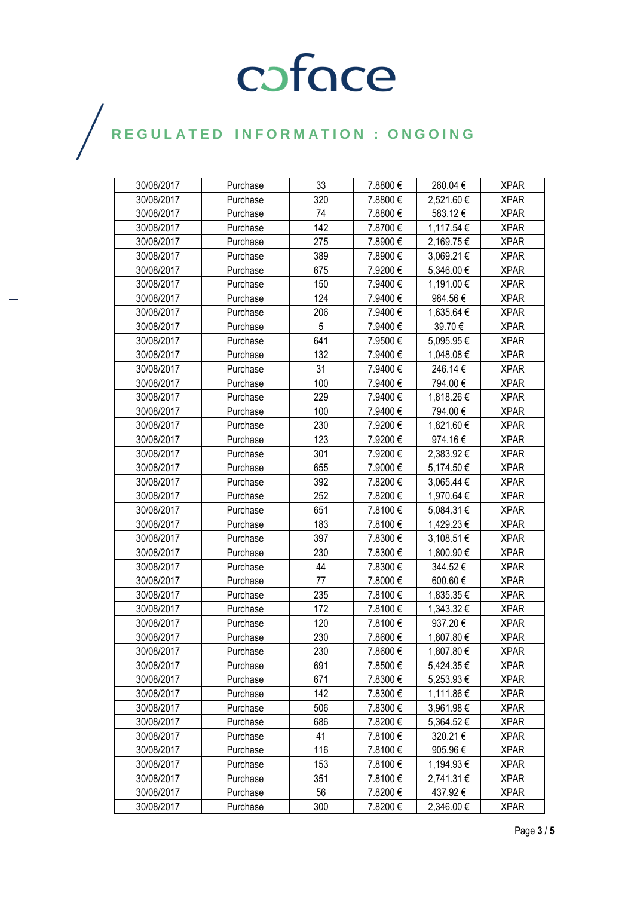# COFOCE

## $\bigg)$

| 30/08/2017 | Purchase | 33  | 7.8800€  | 260.04€        | <b>XPAR</b> |
|------------|----------|-----|----------|----------------|-------------|
| 30/08/2017 | Purchase | 320 | 7.8800€  | 2,521.60 €     | <b>XPAR</b> |
| 30/08/2017 | Purchase | 74  | 7.8800€  | 583.12€        | <b>XPAR</b> |
| 30/08/2017 | Purchase | 142 | 7.8700€  | 1,117.54 €     | <b>XPAR</b> |
| 30/08/2017 | Purchase | 275 | 7.8900€  | 2,169.75 €     | <b>XPAR</b> |
| 30/08/2017 | Purchase | 389 | 7.8900 € | 3,069.21 €     | <b>XPAR</b> |
| 30/08/2017 | Purchase | 675 | 7.9200€  | 5,346.00 €     | <b>XPAR</b> |
| 30/08/2017 | Purchase | 150 | 7.9400€  | 1,191.00€      | <b>XPAR</b> |
| 30/08/2017 | Purchase | 124 | 7.9400€  | 984.56€        | <b>XPAR</b> |
| 30/08/2017 | Purchase | 206 | 7.9400€  | 1,635.64 €     | <b>XPAR</b> |
| 30/08/2017 | Purchase | 5   | 7.9400€  | 39.70€         | <b>XPAR</b> |
| 30/08/2017 | Purchase | 641 | 7.9500€  | 5,095.95 €     | <b>XPAR</b> |
| 30/08/2017 | Purchase | 132 | 7.9400€  | 1,048.08 €     | <b>XPAR</b> |
| 30/08/2017 | Purchase | 31  | 7.9400€  | 246.14€        | <b>XPAR</b> |
| 30/08/2017 | Purchase | 100 | 7.9400€  | 794.00€        | <b>XPAR</b> |
| 30/08/2017 | Purchase | 229 | 7.9400€  | 1,818.26 €     | <b>XPAR</b> |
| 30/08/2017 | Purchase | 100 | 7.9400€  | 794.00 €       | <b>XPAR</b> |
| 30/08/2017 | Purchase | 230 | 7.9200€  | 1,821.60 €     | <b>XPAR</b> |
| 30/08/2017 | Purchase | 123 | 7.9200€  | 974.16 €       | <b>XPAR</b> |
| 30/08/2017 | Purchase | 301 | 7.9200€  | 2,383.92 €     | <b>XPAR</b> |
| 30/08/2017 | Purchase | 655 | 7.9000€  | 5,174.50 €     | <b>XPAR</b> |
| 30/08/2017 | Purchase | 392 | 7.8200€  | 3,065.44 €     | <b>XPAR</b> |
| 30/08/2017 | Purchase | 252 | 7.8200€  | 1,970.64 €     | <b>XPAR</b> |
| 30/08/2017 | Purchase | 651 | 7.8100€  | 5,084.31 €     | <b>XPAR</b> |
| 30/08/2017 | Purchase | 183 | 7.8100€  | 1,429.23 €     | <b>XPAR</b> |
| 30/08/2017 | Purchase | 397 | 7.8300 € | $3,108.51 \in$ | <b>XPAR</b> |
| 30/08/2017 | Purchase | 230 | 7.8300 € | 1,800.90 €     | <b>XPAR</b> |
| 30/08/2017 | Purchase | 44  | 7.8300€  | 344.52€        | <b>XPAR</b> |
| 30/08/2017 | Purchase | 77  | 7.8000€  | 600.60€        | <b>XPAR</b> |
| 30/08/2017 | Purchase | 235 | 7.8100€  | 1,835.35 €     | <b>XPAR</b> |
| 30/08/2017 | Purchase | 172 | 7.8100 € | 1,343.32 €     | <b>XPAR</b> |
| 30/08/2017 | Purchase | 120 | 7.8100€  | 937.20€        | <b>XPAR</b> |
| 30/08/2017 | Purchase | 230 | 7.8600€  | 1,807.80 €     | <b>XPAR</b> |
| 30/08/2017 | Purchase | 230 | 7.8600€  | 1,807.80 €     | <b>XPAR</b> |
| 30/08/2017 | Purchase | 691 | 7.8500€  | 5,424.35 €     | <b>XPAR</b> |
| 30/08/2017 | Purchase | 671 | 7.8300€  | 5,253.93 €     | <b>XPAR</b> |
| 30/08/2017 | Purchase | 142 | 7.8300€  | 1,111.86 €     | <b>XPAR</b> |
| 30/08/2017 | Purchase | 506 | 7.8300€  | 3,961.98 €     | <b>XPAR</b> |
| 30/08/2017 | Purchase | 686 | 7.8200€  | 5,364.52€      | <b>XPAR</b> |
| 30/08/2017 | Purchase | 41  | 7.8100€  | 320.21€        | <b>XPAR</b> |
| 30/08/2017 | Purchase | 116 | 7.8100€  | 905.96€        | <b>XPAR</b> |
| 30/08/2017 | Purchase | 153 | 7.8100€  | 1,194.93 €     | <b>XPAR</b> |
| 30/08/2017 | Purchase | 351 | 7.8100 € | 2,741.31 €     | <b>XPAR</b> |
| 30/08/2017 | Purchase | 56  | 7.8200€  | 437.92€        | <b>XPAR</b> |
| 30/08/2017 | Purchase | 300 | 7.8200€  | 2,346.00 €     | <b>XPAR</b> |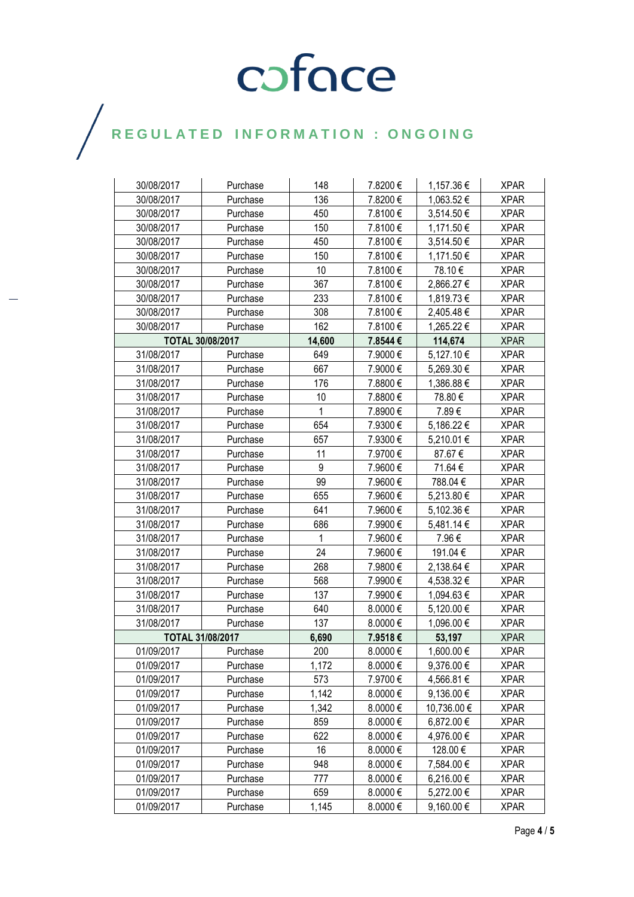# COFOCE

## $\bigg)$

| 30/08/2017 | Purchase                | 148          | 7.8200€  | 1,157.36 €     | <b>XPAR</b> |
|------------|-------------------------|--------------|----------|----------------|-------------|
| 30/08/2017 | Purchase                | 136          | 7.8200€  | 1,063.52 €     | <b>XPAR</b> |
| 30/08/2017 | Purchase                | 450          | 7.8100€  | 3,514.50 €     | <b>XPAR</b> |
| 30/08/2017 | Purchase                | 150          | 7.8100€  | 1,171.50 €     | <b>XPAR</b> |
| 30/08/2017 | Purchase                | 450          | 7.8100€  | 3,514.50 €     | <b>XPAR</b> |
| 30/08/2017 | Purchase                | 150          | 7.8100€  | 1,171.50 €     | <b>XPAR</b> |
| 30/08/2017 | Purchase                | 10           | 7.8100€  | 78.10€         | <b>XPAR</b> |
| 30/08/2017 | Purchase                | 367          | 7.8100€  | 2,866.27 €     | <b>XPAR</b> |
| 30/08/2017 | Purchase                | 233          | 7.8100€  | 1,819.73 €     | <b>XPAR</b> |
| 30/08/2017 | Purchase                | 308          | 7.8100€  | 2,405.48 €     | <b>XPAR</b> |
| 30/08/2017 | Purchase                | 162          | 7.8100€  | 1,265.22 €     | <b>XPAR</b> |
|            | TOTAL 30/08/2017        |              | 7.8544€  | 114,674        | <b>XPAR</b> |
| 31/08/2017 | Purchase                | 649          | 7.9000€  | 5,127.10 €     | <b>XPAR</b> |
| 31/08/2017 | Purchase                | 667          | 7.9000€  | 5,269.30 €     | <b>XPAR</b> |
| 31/08/2017 | Purchase                | 176          | 7.8800€  | 1,386.88 €     | <b>XPAR</b> |
| 31/08/2017 | Purchase                | 10           | 7.8800€  | 78.80€         | <b>XPAR</b> |
| 31/08/2017 | Purchase                | $\mathbf{1}$ | 7.8900€  | 7.89€          | <b>XPAR</b> |
| 31/08/2017 | Purchase                | 654          | 7.9300€  | 5,186.22 €     | <b>XPAR</b> |
| 31/08/2017 | Purchase                | 657          | 7.9300€  | 5,210.01 €     | <b>XPAR</b> |
| 31/08/2017 | Purchase                | 11           | 7.9700€  | 87.67€         | <b>XPAR</b> |
| 31/08/2017 | Purchase                | 9            | 7.9600€  | 71.64 €        | <b>XPAR</b> |
| 31/08/2017 | Purchase                | 99           | 7.9600€  | 788.04 €       | <b>XPAR</b> |
| 31/08/2017 | Purchase                | 655          | 7.9600€  | 5,213.80 €     | <b>XPAR</b> |
| 31/08/2017 | Purchase                | 641          | 7.9600€  | 5,102.36 €     | <b>XPAR</b> |
| 31/08/2017 | Purchase                | 686          | 7.9900€  | 5,481.14 €     | <b>XPAR</b> |
| 31/08/2017 | Purchase                | 1            | 7.9600€  | 7.96€          | <b>XPAR</b> |
| 31/08/2017 | Purchase                | 24           | 7.9600€  | 191.04 €       | <b>XPAR</b> |
| 31/08/2017 | Purchase                | 268          | 7.9800€  | 2,138.64 €     | <b>XPAR</b> |
| 31/08/2017 | Purchase                | 568          | 7.9900€  | 4,538.32 €     | XPAR        |
| 31/08/2017 | Purchase                | 137          | 7.9900€  | 1,094.63 €     | <b>XPAR</b> |
| 31/08/2017 | Purchase                | 640          | 8.0000€  | 5,120.00 €     | <b>XPAR</b> |
| 31/08/2017 | Purchase                | 137          | 8.0000€  | 1,096.00 €     | <b>XPAR</b> |
|            | <b>TOTAL 31/08/2017</b> | 6,690        | 7.9518€  | 53,197         | <b>XPAR</b> |
| 01/09/2017 | Purchase                | 200          | 8.0000 € | 1,600.00 €     | <b>XPAR</b> |
| 01/09/2017 | Purchase                | 1,172        | 8.0000€  | 9,376.00 €     | <b>XPAR</b> |
| 01/09/2017 | Purchase                | 573          | 7.9700€  | 4,566.81 €     | <b>XPAR</b> |
| 01/09/2017 | Purchase                | 1,142        | 8.0000€  | $9,136.00 \in$ | <b>XPAR</b> |
| 01/09/2017 | Purchase                | 1,342        | 8.0000€  | 10,736.00 €    | <b>XPAR</b> |
| 01/09/2017 | Purchase                | 859          | 8.0000€  | 6,872.00 €     | <b>XPAR</b> |
| 01/09/2017 | Purchase                | 622          | 8.0000€  | 4,976.00 €     | <b>XPAR</b> |
| 01/09/2017 | Purchase                | 16           | 8.0000€  | 128.00€        | <b>XPAR</b> |
| 01/09/2017 | Purchase                | 948          | 8.0000€  | 7,584.00 €     | <b>XPAR</b> |
| 01/09/2017 | Purchase                | 777          | 8.0000€  | 6,216.00 €     | <b>XPAR</b> |
| 01/09/2017 | Purchase                | 659          | 8.0000€  | 5,272.00 €     | <b>XPAR</b> |
| 01/09/2017 | Purchase                | 1,145        | 8.0000€  | 9,160.00 €     | <b>XPAR</b> |